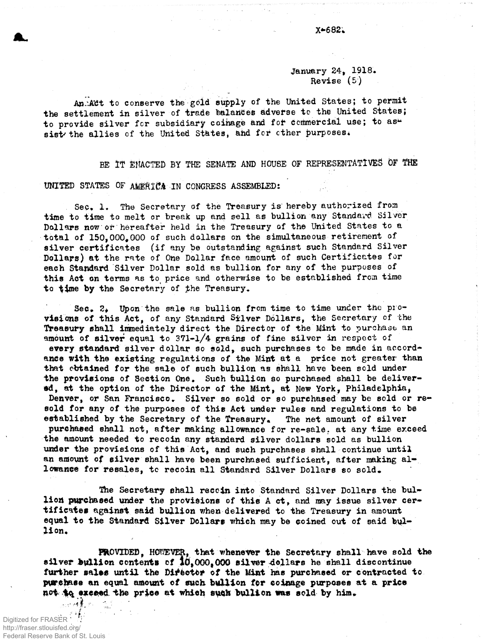## January 24, 1918. Revise  $(5)$

An Act to conserve the gold supply of the United States; to permit the settlement in silver of trade balances adverse to the United States; to provide silver for subsidiary coinage and for commercial use; to assist the allies of the United States, and for other purposes.

BE IT EMACTED BY THE SENATE AND HOUSE OF REPRESENTATIVES OF THE

UNITED STATES OF AMERICA IN CONGRESS ASSEMBLED:

Sec. 1. The Secretary of the Treasury is hereby authorized from time to time to melt or break up and sell as bullion any Standard Silver Dollars now or hereafter held in the Treasury of the United States to a total of 150,000,000 of such dollars on the simultaneous retirement of silver certificates (if any be outstanding against such Standard Silver Dollars) at the rate of One Dollar face amount of such Certificates for each Standard Silver Dollar sold as bullion for any of the purposes of this Act on terms as to price and otherwise to be established from time to time by the Secretary of the Treasury.

Sec.  $2$ . Upon the sale as bullion from time to time under the provisions of this Act. of any Standard Silver Dollars, the Secretary of the Treasury shall immediately direct the Director of the Mint to purchase an amount of silver equal to  $371-1/4$  grains of fine silver in respect of every standard silver dollar so sold, such purchases to be made in accordance with the existing regulations of the Mint at a price not greater than that ebtained for the sale of such bullion as shall have been sold under the provisions of Section One. Such bullion so purchased shall be delivered, at the option of the Director of the Mint, at New York, Philadelphia, Denver, or San Francisco. Silver so sold or so purchased may be sold or resold for any of the purposes of this Act under rules and regulations to be established by the Secretary of the Treasury. The net amount of silver purchased shall not, after making allowance for re-sale, at any time exceed the amount needed to recoin any standard silver dollars sold as bullion under the provisions of this Act, and such purchases shall continue until an amount of silver shall have been purchased sufficient, after making allowance for resales, to recoin all Standard Silver Dollars so sold.

The Secretary shall recoin into Standard Silver Dollars the bullion purchased under the provisions of this A ct, and may issue silver certificates against said bullion when delivered to the Treasury in amount equal to the Standard Silver Dollars which may be coined out of said bullion.

FROVIDED, HOWEVER, that whenever the Secretary shall have sold the silver bullion contents of  $10,000,000$  silver dollars he shall discontinue further sales until the Director of the Mint has purchased or contracted to. purchase an equal amount of such bullion for coinage purposes at a price not to exceed the price at which such bullion was sold by him.

 $\mathcal{L}_{\text{eff}}$  and  $\mathcal{L}_{\text{eff}}$